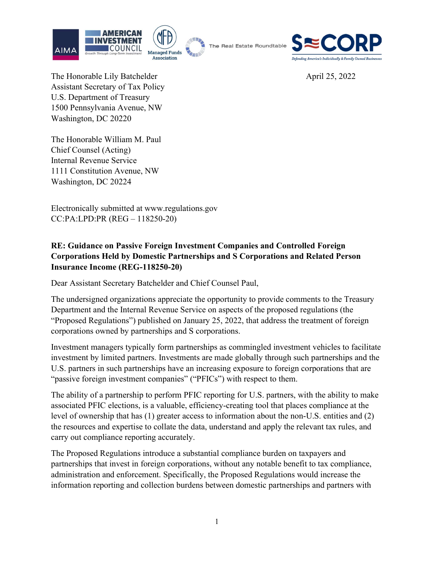







The Honorable Lily Batchelder April 25, 2022 Assistant Secretary of Tax Policy U.S. Department of Treasury 1500 Pennsylvania Avenue, NW Washington, DC 20220

The Honorable William M. Paul Chief Counsel (Acting) Internal Revenue Service 1111 Constitution Avenue, NW Washington, DC 20224

Electronically submitted at www.regulations.gov CC:PA:LPD:PR (REG – 118250-20)

## RE: Guidance on Passive Foreign Investment Companies and Controlled Foreign Corporations Held by Domestic Partnerships and S Corporations and Related Person Insurance Income (REG-118250-20)

Dear Assistant Secretary Batchelder and Chief Counsel Paul,

The undersigned organizations appreciate the opportunity to provide comments to the Treasury Department and the Internal Revenue Service on aspects of the proposed regulations (the "Proposed Regulations") published on January 25, 2022, that address the treatment of foreign corporations owned by partnerships and S corporations.

Investment managers typically form partnerships as commingled investment vehicles to facilitate investment by limited partners. Investments are made globally through such partnerships and the U.S. partners in such partnerships have an increasing exposure to foreign corporations that are "passive foreign investment companies" ("PFICs") with respect to them.

The ability of a partnership to perform PFIC reporting for U.S. partners, with the ability to make associated PFIC elections, is a valuable, efficiency-creating tool that places compliance at the level of ownership that has (1) greater access to information about the non-U.S. entities and (2) the resources and expertise to collate the data, understand and apply the relevant tax rules, and carry out compliance reporting accurately.

The Proposed Regulations introduce a substantial compliance burden on taxpayers and partnerships that invest in foreign corporations, without any notable benefit to tax compliance, administration and enforcement. Specifically, the Proposed Regulations would increase the information reporting and collection burdens between domestic partnerships and partners with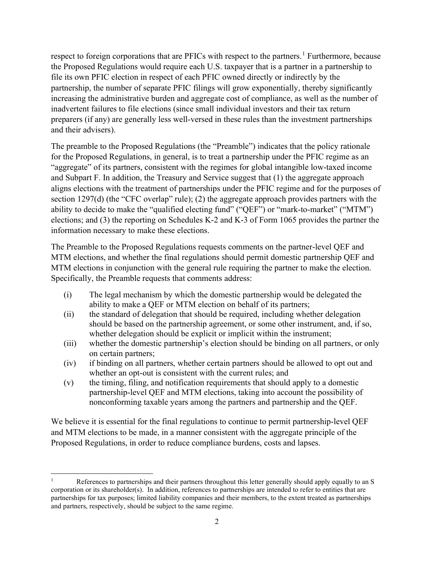respect to foreign corporations that are PFICs with respect to the partners.<sup>1</sup> Furthermore, because the Proposed Regulations would require each U.S. taxpayer that is a partner in a partnership to file its own PFIC election in respect of each PFIC owned directly or indirectly by the partnership, the number of separate PFIC filings will grow exponentially, thereby significantly increasing the administrative burden and aggregate cost of compliance, as well as the number of inadvertent failures to file elections (since small individual investors and their tax return preparers (if any) are generally less well-versed in these rules than the investment partnerships and their advisers).

The preamble to the Proposed Regulations (the "Preamble") indicates that the policy rationale for the Proposed Regulations, in general, is to treat a partnership under the PFIC regime as an "aggregate" of its partners, consistent with the regimes for global intangible low-taxed income and Subpart F. In addition, the Treasury and Service suggest that (1) the aggregate approach aligns elections with the treatment of partnerships under the PFIC regime and for the purposes of section 1297(d) (the "CFC overlap" rule); (2) the aggregate approach provides partners with the ability to decide to make the "qualified electing fund" ("QEF") or "mark-to-market" ("MTM") elections; and (3) the reporting on Schedules K-2 and K-3 of Form 1065 provides the partner the information necessary to make these elections.

The Preamble to the Proposed Regulations requests comments on the partner-level QEF and MTM elections, and whether the final regulations should permit domestic partnership QEF and MTM elections in conjunction with the general rule requiring the partner to make the election. Specifically, the Preamble requests that comments address:

- (i) The legal mechanism by which the domestic partnership would be delegated the ability to make a QEF or MTM election on behalf of its partners;
- (ii) the standard of delegation that should be required, including whether delegation should be based on the partnership agreement, or some other instrument, and, if so, whether delegation should be explicit or implicit within the instrument;
- (iii) whether the domestic partnership's election should be binding on all partners, or only on certain partners;
- (iv) if binding on all partners, whether certain partners should be allowed to opt out and whether an opt-out is consistent with the current rules; and
- (v) the timing, filing, and notification requirements that should apply to a domestic partnership-level QEF and MTM elections, taking into account the possibility of nonconforming taxable years among the partners and partnership and the QEF.

We believe it is essential for the final regulations to continue to permit partnership-level QEF and MTM elections to be made, in a manner consistent with the aggregate principle of the Proposed Regulations, in order to reduce compliance burdens, costs and lapses.

<sup>1</sup> References to partnerships and their partners throughout this letter generally should apply equally to an S corporation or its shareholder(s). In addition, references to partnerships are intended to refer to entities that are partnerships for tax purposes; limited liability companies and their members, to the extent treated as partnerships and partners, respectively, should be subject to the same regime.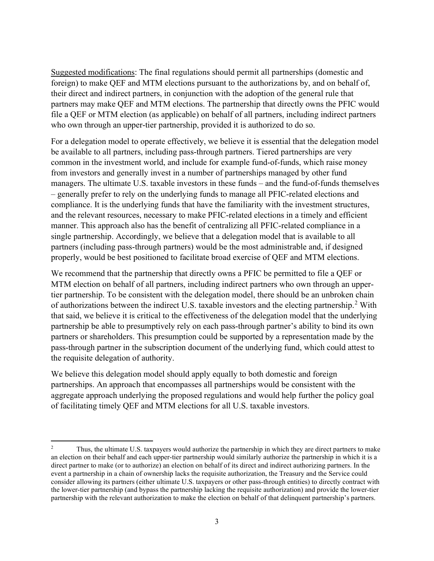Suggested modifications: The final regulations should permit all partnerships (domestic and foreign) to make QEF and MTM elections pursuant to the authorizations by, and on behalf of, their direct and indirect partners, in conjunction with the adoption of the general rule that partners may make QEF and MTM elections. The partnership that directly owns the PFIC would file a QEF or MTM election (as applicable) on behalf of all partners, including indirect partners who own through an upper-tier partnership, provided it is authorized to do so.

For a delegation model to operate effectively, we believe it is essential that the delegation model be available to all partners, including pass-through partners. Tiered partnerships are very common in the investment world, and include for example fund-of-funds, which raise money from investors and generally invest in a number of partnerships managed by other fund managers. The ultimate U.S. taxable investors in these funds – and the fund-of-funds themselves – generally prefer to rely on the underlying funds to manage all PFIC-related elections and compliance. It is the underlying funds that have the familiarity with the investment structures, and the relevant resources, necessary to make PFIC-related elections in a timely and efficient manner. This approach also has the benefit of centralizing all PFIC-related compliance in a single partnership. Accordingly, we believe that a delegation model that is available to all partners (including pass-through partners) would be the most administrable and, if designed properly, would be best positioned to facilitate broad exercise of QEF and MTM elections.

We recommend that the partnership that directly owns a PFIC be permitted to file a QEF or MTM election on behalf of all partners, including indirect partners who own through an uppertier partnership. To be consistent with the delegation model, there should be an unbroken chain of authorizations between the indirect U.S. taxable investors and the electing partnership.<sup>2</sup> With that said, we believe it is critical to the effectiveness of the delegation model that the underlying partnership be able to presumptively rely on each pass-through partner's ability to bind its own partners or shareholders. This presumption could be supported by a representation made by the pass-through partner in the subscription document of the underlying fund, which could attest to the requisite delegation of authority.

We believe this delegation model should apply equally to both domestic and foreign partnerships. An approach that encompasses all partnerships would be consistent with the aggregate approach underlying the proposed regulations and would help further the policy goal of facilitating timely QEF and MTM elections for all U.S. taxable investors.

<sup>2</sup> Thus, the ultimate U.S. taxpayers would authorize the partnership in which they are direct partners to make an election on their behalf and each upper-tier partnership would similarly authorize the partnership in which it is a direct partner to make (or to authorize) an election on behalf of its direct and indirect authorizing partners. In the event a partnership in a chain of ownership lacks the requisite authorization, the Treasury and the Service could consider allowing its partners (either ultimate U.S. taxpayers or other pass-through entities) to directly contract with the lower-tier partnership (and bypass the partnership lacking the requisite authorization) and provide the lower-tier partnership with the relevant authorization to make the election on behalf of that delinquent partnership's partners.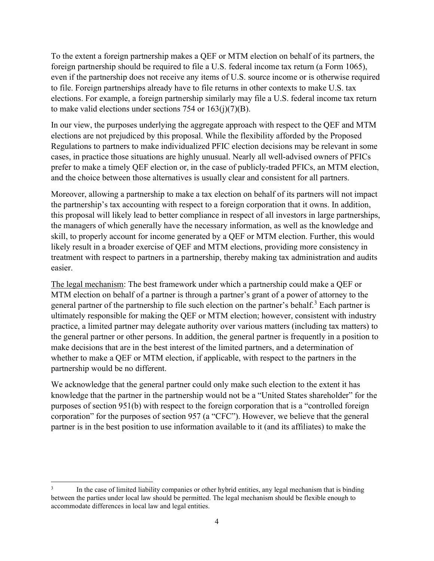To the extent a foreign partnership makes a QEF or MTM election on behalf of its partners, the foreign partnership should be required to file a U.S. federal income tax return (a Form 1065), even if the partnership does not receive any items of U.S. source income or is otherwise required to file. Foreign partnerships already have to file returns in other contexts to make U.S. tax elections. For example, a foreign partnership similarly may file a U.S. federal income tax return to make valid elections under sections 754 or  $163(j)(7)(B)$ .

In our view, the purposes underlying the aggregate approach with respect to the QEF and MTM elections are not prejudiced by this proposal. While the flexibility afforded by the Proposed Regulations to partners to make individualized PFIC election decisions may be relevant in some cases, in practice those situations are highly unusual. Nearly all well-advised owners of PFICs prefer to make a timely QEF election or, in the case of publicly-traded PFICs, an MTM election, and the choice between those alternatives is usually clear and consistent for all partners.

Moreover, allowing a partnership to make a tax election on behalf of its partners will not impact the partnership's tax accounting with respect to a foreign corporation that it owns. In addition, this proposal will likely lead to better compliance in respect of all investors in large partnerships, the managers of which generally have the necessary information, as well as the knowledge and skill, to properly account for income generated by a QEF or MTM election. Further, this would likely result in a broader exercise of QEF and MTM elections, providing more consistency in treatment with respect to partners in a partnership, thereby making tax administration and audits easier.

The legal mechanism: The best framework under which a partnership could make a QEF or MTM election on behalf of a partner is through a partner's grant of a power of attorney to the general partner of the partnership to file such election on the partner's behalf.<sup>3</sup> Each partner is ultimately responsible for making the QEF or MTM election; however, consistent with industry practice, a limited partner may delegate authority over various matters (including tax matters) to the general partner or other persons. In addition, the general partner is frequently in a position to make decisions that are in the best interest of the limited partners, and a determination of whether to make a QEF or MTM election, if applicable, with respect to the partners in the partnership would be no different.

We acknowledge that the general partner could only make such election to the extent it has knowledge that the partner in the partnership would not be a "United States shareholder" for the purposes of section 951(b) with respect to the foreign corporation that is a "controlled foreign corporation" for the purposes of section 957 (a "CFC"). However, we believe that the general partner is in the best position to use information available to it (and its affiliates) to make the

<sup>3</sup> In the case of limited liability companies or other hybrid entities, any legal mechanism that is binding between the parties under local law should be permitted. The legal mechanism should be flexible enough to accommodate differences in local law and legal entities.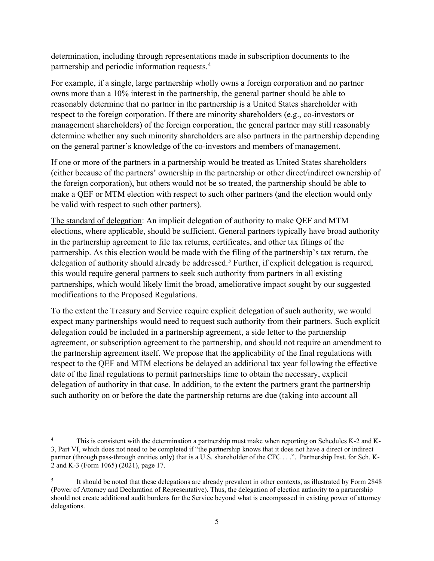determination, including through representations made in subscription documents to the partnership and periodic information requests.<sup>4</sup>

For example, if a single, large partnership wholly owns a foreign corporation and no partner owns more than a 10% interest in the partnership, the general partner should be able to reasonably determine that no partner in the partnership is a United States shareholder with respect to the foreign corporation. If there are minority shareholders (e.g., co-investors or management shareholders) of the foreign corporation, the general partner may still reasonably determine whether any such minority shareholders are also partners in the partnership depending on the general partner's knowledge of the co-investors and members of management.

If one or more of the partners in a partnership would be treated as United States shareholders (either because of the partners' ownership in the partnership or other direct/indirect ownership of the foreign corporation), but others would not be so treated, the partnership should be able to make a QEF or MTM election with respect to such other partners (and the election would only be valid with respect to such other partners).

The standard of delegation: An implicit delegation of authority to make QEF and MTM elections, where applicable, should be sufficient. General partners typically have broad authority in the partnership agreement to file tax returns, certificates, and other tax filings of the partnership. As this election would be made with the filing of the partnership's tax return, the delegation of authority should already be addressed.<sup>5</sup> Further, if explicit delegation is required, this would require general partners to seek such authority from partners in all existing partnerships, which would likely limit the broad, ameliorative impact sought by our suggested modifications to the Proposed Regulations.

To the extent the Treasury and Service require explicit delegation of such authority, we would expect many partnerships would need to request such authority from their partners. Such explicit delegation could be included in a partnership agreement, a side letter to the partnership agreement, or subscription agreement to the partnership, and should not require an amendment to the partnership agreement itself. We propose that the applicability of the final regulations with respect to the QEF and MTM elections be delayed an additional tax year following the effective date of the final regulations to permit partnerships time to obtain the necessary, explicit delegation of authority in that case. In addition, to the extent the partners grant the partnership such authority on or before the date the partnership returns are due (taking into account all

<sup>4</sup> This is consistent with the determination a partnership must make when reporting on Schedules K-2 and K-3, Part VI, which does not need to be completed if "the partnership knows that it does not have a direct or indirect partner (through pass-through entities only) that is a U.S. shareholder of the CFC . . .". Partnership Inst. for Sch. K-2 and K-3 (Form 1065) (2021), page 17.

<sup>5</sup> It should be noted that these delegations are already prevalent in other contexts, as illustrated by Form 2848 (Power of Attorney and Declaration of Representative). Thus, the delegation of election authority to a partnership should not create additional audit burdens for the Service beyond what is encompassed in existing power of attorney delegations.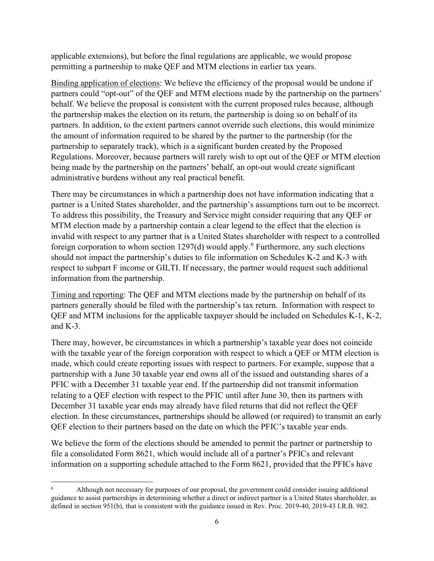applicable extensions), but before the final regulations are applicable, we would propose permitting a partnership to make QEF and MTM elections in earlier tax years.

Binding application of elections: We believe the efficiency of the proposal would be undone if partners could "opt-out" of the QEF and MTM elections made by the partnership on the partners' behalf. We believe the proposal is consistent with the current proposed rules because, although the partnership makes the election on its return, the partnership is doing so on behalf of its partners. In addition, to the extent partners cannot override such elections, this would minimize the amount of information required to be shared by the partner to the partnership (for the partnership to separately track), which is a significant burden created by the Proposed Regulations. Moreover, because partners will rarely wish to opt out of the QEF or MTM election being made by the partnership on the partners' behalf, an opt-out would create significant administrative burdens without any real practical benefit.

There may be circumstances in which a partnership does not have information indicating that a partner is a United States shareholder, and the partnership's assumptions turn out to be incorrect. To address this possibility, the Treasury and Service might consider requiring that any QEF or MTM election made by a partnership contain a clear legend to the effect that the election is invalid with respect to any partner that is a United States shareholder with respect to a controlled foreign corporation to whom section  $1297(d)$  would apply.<sup>6</sup> Furthermore, any such elections should not impact the partnership's duties to file information on Schedules K-2 and K-3 with respect to subpart F income or GILTI. If necessary, the partner would request such additional information from the partnership.

Timing and reporting: The QEF and MTM elections made by the partnership on behalf of its partners generally should be filed with the partnership's tax return. Information with respect to QEF and MTM inclusions for the applicable taxpayer should be included on Schedules K-1, K-2, and  $K-3$ .

There may, however, be circumstances in which a partnership's taxable year does not coincide with the taxable year of the foreign corporation with respect to which a QEF or MTM election is made, which could create reporting issues with respect to partners. For example, suppose that a partnership with a June 30 taxable year end owns all of the issued and outstanding shares of a PFIC with a December 31 taxable year end. If the partnership did not transmit information relating to a QEF election with respect to the PFIC until after June 30, then its partners with December 31 taxable year ends may already have filed returns that did not reflect the QEF election. In these circumstances, partnerships should be allowed (or required) to transmit an early QEF election to their partners based on the date on which the PFIC's taxable year ends.

We believe the form of the elections should be amended to permit the partner or partnership to file a consolidated Form 8621, which would include all of a partner's PFICs and relevant information on a supporting schedule attached to the Form 8621, provided that the PFICs have

<sup>6</sup> Although not necessary for purposes of our proposal, the government could consider issuing additional guidance to assist partnerships in determining whether a direct or indirect partner is a United States shareholder, as defined in section 951(b), that is consistent with the guidance issued in Rev. Proc. 2019-40, 2019-43 I.R.B. 982.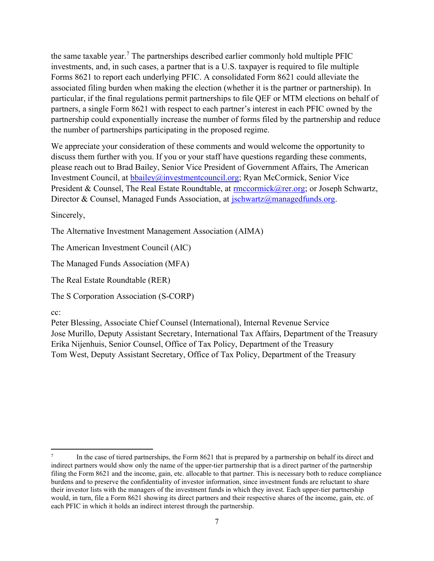the same taxable year.<sup>7</sup> The partnerships described earlier commonly hold multiple PFIC investments, and, in such cases, a partner that is a U.S. taxpayer is required to file multiple Forms 8621 to report each underlying PFIC. A consolidated Form 8621 could alleviate the associated filing burden when making the election (whether it is the partner or partnership). In particular, if the final regulations permit partnerships to file QEF or MTM elections on behalf of partners, a single Form 8621 with respect to each partner's interest in each PFIC owned by the partnership could exponentially increase the number of forms filed by the partnership and reduce the number of partnerships participating in the proposed regime.

We appreciate your consideration of these comments and would welcome the opportunity to discuss them further with you. If you or your staff have questions regarding these comments, please reach out to Brad Bailey, Senior Vice President of Government Affairs, The American Investment Council, at **bbailey@investmentcouncil.org;** Ryan McCormick, Senior Vice President & Counsel, The Real Estate Roundtable, at rmccormick@rer.org; or Joseph Schwartz, Director & Counsel, Managed Funds Association, at jschwartz@managedfunds.org.

Sincerely,

The Alternative Investment Management Association (AIMA)

The American Investment Council (AIC)

The Managed Funds Association (MFA)

The Real Estate Roundtable (RER)

The S Corporation Association (S-CORP)

cc:

Peter Blessing, Associate Chief Counsel (International), Internal Revenue Service Jose Murillo, Deputy Assistant Secretary, International Tax Affairs, Department of the Treasury Erika Nijenhuis, Senior Counsel, Office of Tax Policy, Department of the Treasury Tom West, Deputy Assistant Secretary, Office of Tax Policy, Department of the Treasury

<sup>7</sup> In the case of tiered partnerships, the Form 8621 that is prepared by a partnership on behalf its direct and indirect partners would show only the name of the upper-tier partnership that is a direct partner of the partnership filing the Form 8621 and the income, gain, etc. allocable to that partner. This is necessary both to reduce compliance burdens and to preserve the confidentiality of investor information, since investment funds are reluctant to share their investor lists with the managers of the investment funds in which they invest. Each upper-tier partnership would, in turn, file a Form 8621 showing its direct partners and their respective shares of the income, gain, etc. of each PFIC in which it holds an indirect interest through the partnership.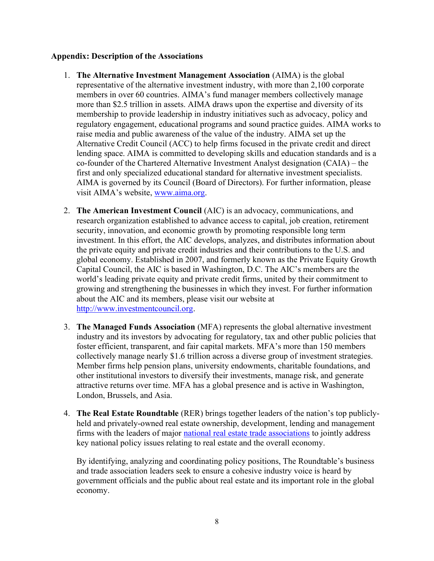## Appendix: Description of the Associations

- 1. The Alternative Investment Management Association (AIMA) is the global representative of the alternative investment industry, with more than 2,100 corporate members in over 60 countries. AIMA's fund manager members collectively manage more than \$2.5 trillion in assets. AIMA draws upon the expertise and diversity of its membership to provide leadership in industry initiatives such as advocacy, policy and regulatory engagement, educational programs and sound practice guides. AIMA works to raise media and public awareness of the value of the industry. AIMA set up the Alternative Credit Council (ACC) to help firms focused in the private credit and direct lending space. AIMA is committed to developing skills and education standards and is a co-founder of the Chartered Alternative Investment Analyst designation (CAIA) – the first and only specialized educational standard for alternative investment specialists. AIMA is governed by its Council (Board of Directors). For further information, please visit AIMA's website, www.aima.org.
- 2. The American Investment Council (AIC) is an advocacy, communications, and research organization established to advance access to capital, job creation, retirement security, innovation, and economic growth by promoting responsible long term investment. In this effort, the AIC develops, analyzes, and distributes information about the private equity and private credit industries and their contributions to the U.S. and global economy. Established in 2007, and formerly known as the Private Equity Growth Capital Council, the AIC is based in Washington, D.C. The AIC's members are the world's leading private equity and private credit firms, united by their commitment to growing and strengthening the businesses in which they invest. For further information about the AIC and its members, please visit our website at http://www.investmentcouncil.org.
- 3. The Managed Funds Association (MFA) represents the global alternative investment industry and its investors by advocating for regulatory, tax and other public policies that foster efficient, transparent, and fair capital markets. MFA's more than 150 members collectively manage nearly \$1.6 trillion across a diverse group of investment strategies. Member firms help pension plans, university endowments, charitable foundations, and other institutional investors to diversify their investments, manage risk, and generate attractive returns over time. MFA has a global presence and is active in Washington, London, Brussels, and Asia.
- 4. The Real Estate Roundtable (RER) brings together leaders of the nation's top publiclyheld and privately-owned real estate ownership, development, lending and management firms with the leaders of major national real estate trade associations to jointly address key national policy issues relating to real estate and the overall economy.

By identifying, analyzing and coordinating policy positions, The Roundtable's business and trade association leaders seek to ensure a cohesive industry voice is heard by government officials and the public about real estate and its important role in the global economy.